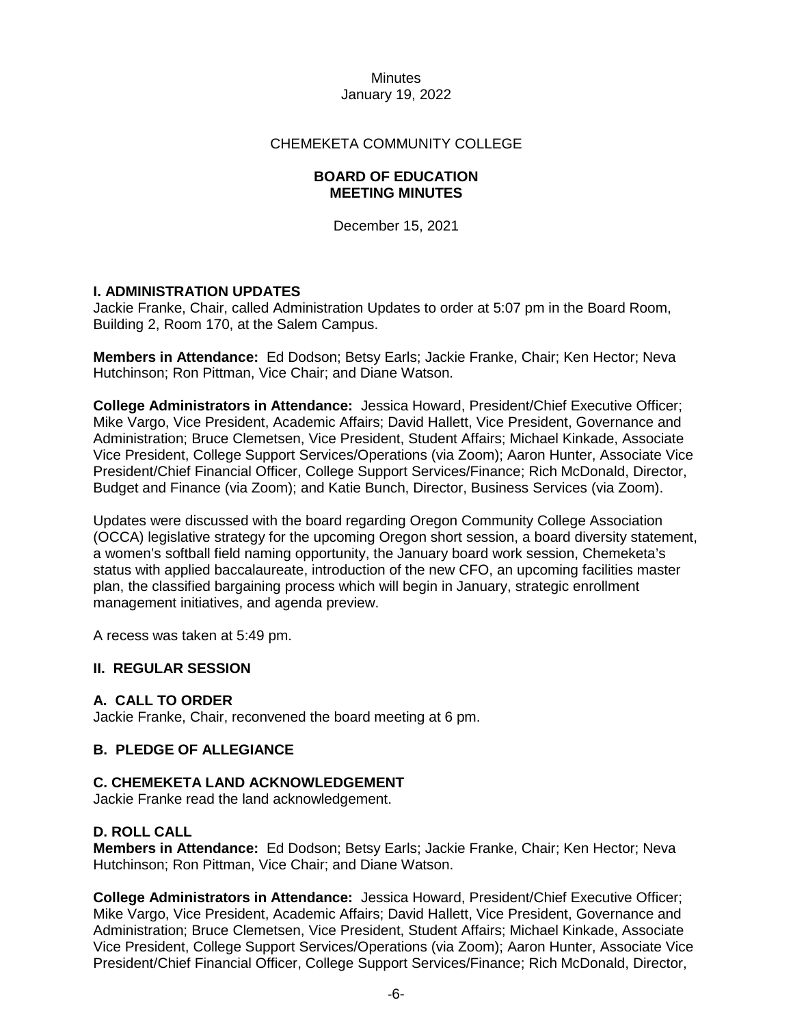### CHEMEKETA COMMUNITY COLLEGE

#### **BOARD OF EDUCATION MEETING MINUTES**

December 15, 2021

## **I. ADMINISTRATION UPDATES**

Jackie Franke, Chair, called Administration Updates to order at 5:07 pm in the Board Room, Building 2, Room 170, at the Salem Campus.

**Members in Attendance:** Ed Dodson; Betsy Earls; Jackie Franke, Chair; Ken Hector; Neva Hutchinson; Ron Pittman, Vice Chair; and Diane Watson.

**College Administrators in Attendance:** Jessica Howard, President/Chief Executive Officer; Mike Vargo, Vice President, Academic Affairs; David Hallett, Vice President, Governance and Administration; Bruce Clemetsen, Vice President, Student Affairs; Michael Kinkade, Associate Vice President, College Support Services/Operations (via Zoom); Aaron Hunter, Associate Vice President/Chief Financial Officer, College Support Services/Finance; Rich McDonald, Director, Budget and Finance (via Zoom); and Katie Bunch, Director, Business Services (via Zoom).

Updates were discussed with the board regarding Oregon Community College Association (OCCA) legislative strategy for the upcoming Oregon short session, a board diversity statement, a women's softball field naming opportunity, the January board work session, Chemeketa's status with applied baccalaureate, introduction of the new CFO, an upcoming facilities master plan, the classified bargaining process which will begin in January, strategic enrollment management initiatives, and agenda preview.

A recess was taken at 5:49 pm.

## **II. REGULAR SESSION**

## **A. CALL TO ORDER**

Jackie Franke, Chair, reconvened the board meeting at 6 pm.

## **B. PLEDGE OF ALLEGIANCE**

#### **C. CHEMEKETA LAND ACKNOWLEDGEMENT**

Jackie Franke read the land acknowledgement.

#### **D. ROLL CALL**

**Members in Attendance:** Ed Dodson; Betsy Earls; Jackie Franke, Chair; Ken Hector; Neva Hutchinson; Ron Pittman, Vice Chair; and Diane Watson.

**College Administrators in Attendance:** Jessica Howard, President/Chief Executive Officer; Mike Vargo, Vice President, Academic Affairs; David Hallett, Vice President, Governance and Administration; Bruce Clemetsen, Vice President, Student Affairs; Michael Kinkade, Associate Vice President, College Support Services/Operations (via Zoom); Aaron Hunter, Associate Vice President/Chief Financial Officer, College Support Services/Finance; Rich McDonald, Director,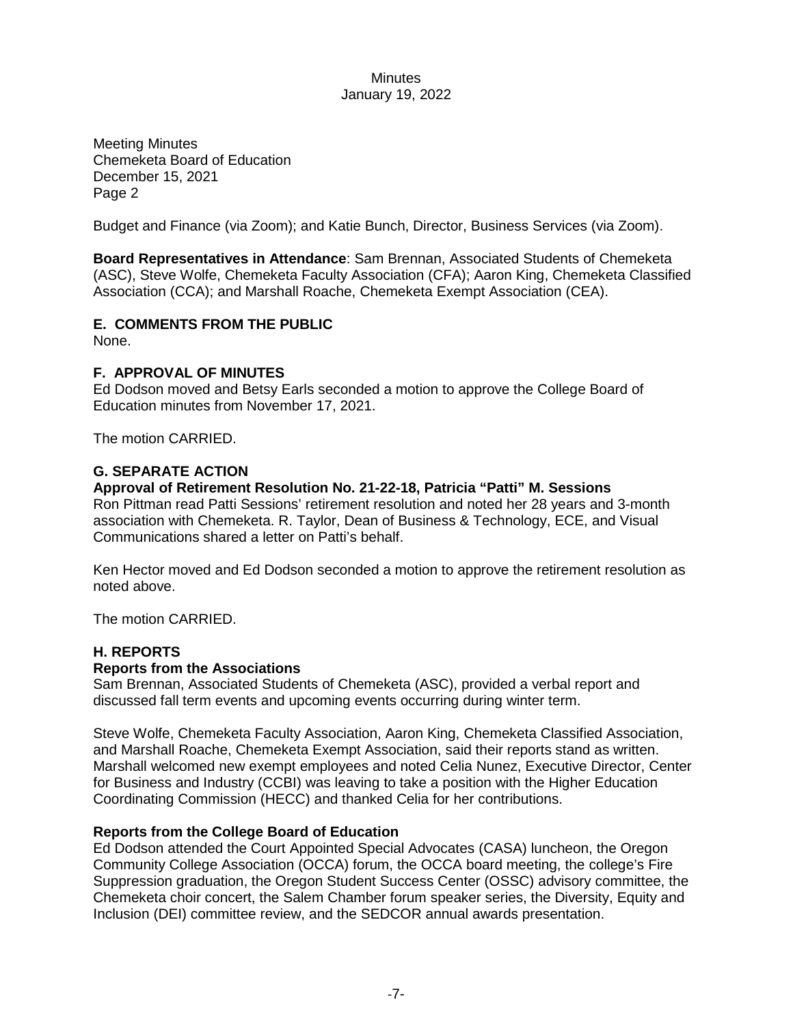Meeting Minutes Chemeketa Board of Education December 15, 2021 Page 2

Budget and Finance (via Zoom); and Katie Bunch, Director, Business Services (via Zoom).

**Board Representatives in Attendance**: Sam Brennan, Associated Students of Chemeketa (ASC), Steve Wolfe, Chemeketa Faculty Association (CFA); Aaron King, Chemeketa Classified Association (CCA); and Marshall Roache, Chemeketa Exempt Association (CEA).

# **E. COMMENTS FROM THE PUBLIC**

None.

## **F. APPROVAL OF MINUTES**

Ed Dodson moved and Betsy Earls seconded a motion to approve the College Board of Education minutes from November 17, 2021.

The motion CARRIED.

## **G. SEPARATE ACTION**

#### **Approval of Retirement Resolution No. 21-22-18, Patricia "Patti" M. Sessions**

Ron Pittman read Patti Sessions' retirement resolution and noted her 28 years and 3-month association with Chemeketa. R. Taylor, Dean of Business & Technology, ECE, and Visual Communications shared a letter on Patti's behalf.

Ken Hector moved and Ed Dodson seconded a motion to approve the retirement resolution as noted above.

The motion CARRIED.

## **H. REPORTS**

#### **Reports from the Associations**

Sam Brennan, Associated Students of Chemeketa (ASC), provided a verbal report and discussed fall term events and upcoming events occurring during winter term.

Steve Wolfe, Chemeketa Faculty Association, Aaron King, Chemeketa Classified Association, and Marshall Roache, Chemeketa Exempt Association, said their reports stand as written. Marshall welcomed new exempt employees and noted Celia Nunez, Executive Director, Center for Business and Industry (CCBI) was leaving to take a position with the Higher Education Coordinating Commission (HECC) and thanked Celia for her contributions.

#### **Reports from the College Board of Education**

Ed Dodson attended the Court Appointed Special Advocates (CASA) luncheon, the Oregon Community College Association (OCCA) forum, the OCCA board meeting, the college's Fire Suppression graduation, the Oregon Student Success Center (OSSC) advisory committee, the Chemeketa choir concert, the Salem Chamber forum speaker series, the Diversity, Equity and Inclusion (DEI) committee review, and the SEDCOR annual awards presentation.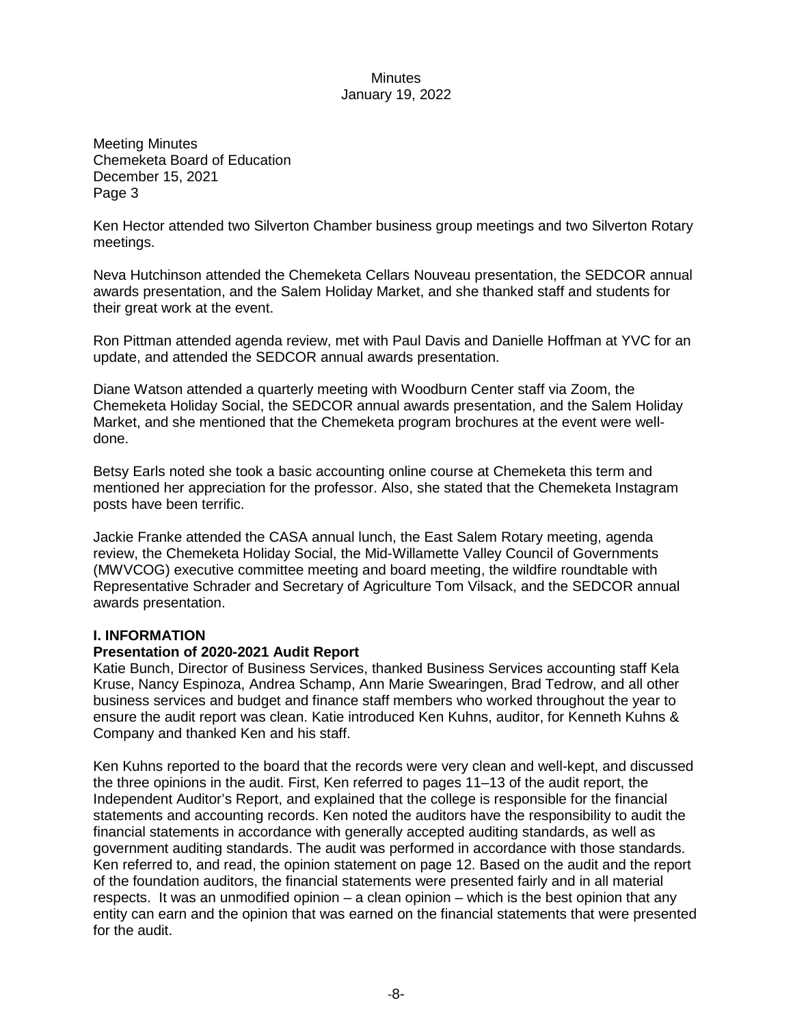Meeting Minutes Chemeketa Board of Education December 15, 2021 Page 3

Ken Hector attended two Silverton Chamber business group meetings and two Silverton Rotary meetings.

Neva Hutchinson attended the Chemeketa Cellars Nouveau presentation, the SEDCOR annual awards presentation, and the Salem Holiday Market, and she thanked staff and students for their great work at the event.

Ron Pittman attended agenda review, met with Paul Davis and Danielle Hoffman at YVC for an update, and attended the SEDCOR annual awards presentation.

Diane Watson attended a quarterly meeting with Woodburn Center staff via Zoom, the Chemeketa Holiday Social, the SEDCOR annual awards presentation, and the Salem Holiday Market, and she mentioned that the Chemeketa program brochures at the event were welldone.

Betsy Earls noted she took a basic accounting online course at Chemeketa this term and mentioned her appreciation for the professor. Also, she stated that the Chemeketa Instagram posts have been terrific.

Jackie Franke attended the CASA annual lunch, the East Salem Rotary meeting, agenda review, the Chemeketa Holiday Social, the Mid-Willamette Valley Council of Governments (MWVCOG) executive committee meeting and board meeting, the wildfire roundtable with Representative Schrader and Secretary of Agriculture Tom Vilsack, and the SEDCOR annual awards presentation.

#### **I. INFORMATION**

#### **Presentation of 2020-2021 Audit Report**

Katie Bunch, Director of Business Services, thanked Business Services accounting staff Kela Kruse, Nancy Espinoza, Andrea Schamp, Ann Marie Swearingen, Brad Tedrow, and all other business services and budget and finance staff members who worked throughout the year to ensure the audit report was clean. Katie introduced Ken Kuhns, auditor, for Kenneth Kuhns & Company and thanked Ken and his staff.

Ken Kuhns reported to the board that the records were very clean and well-kept, and discussed the three opinions in the audit. First, Ken referred to pages 11–13 of the audit report, the Independent Auditor's Report, and explained that the college is responsible for the financial statements and accounting records. Ken noted the auditors have the responsibility to audit the financial statements in accordance with generally accepted auditing standards, as well as government auditing standards. The audit was performed in accordance with those standards. Ken referred to, and read, the opinion statement on page 12. Based on the audit and the report of the foundation auditors, the financial statements were presented fairly and in all material respects. It was an unmodified opinion – a clean opinion – which is the best opinion that any entity can earn and the opinion that was earned on the financial statements that were presented for the audit.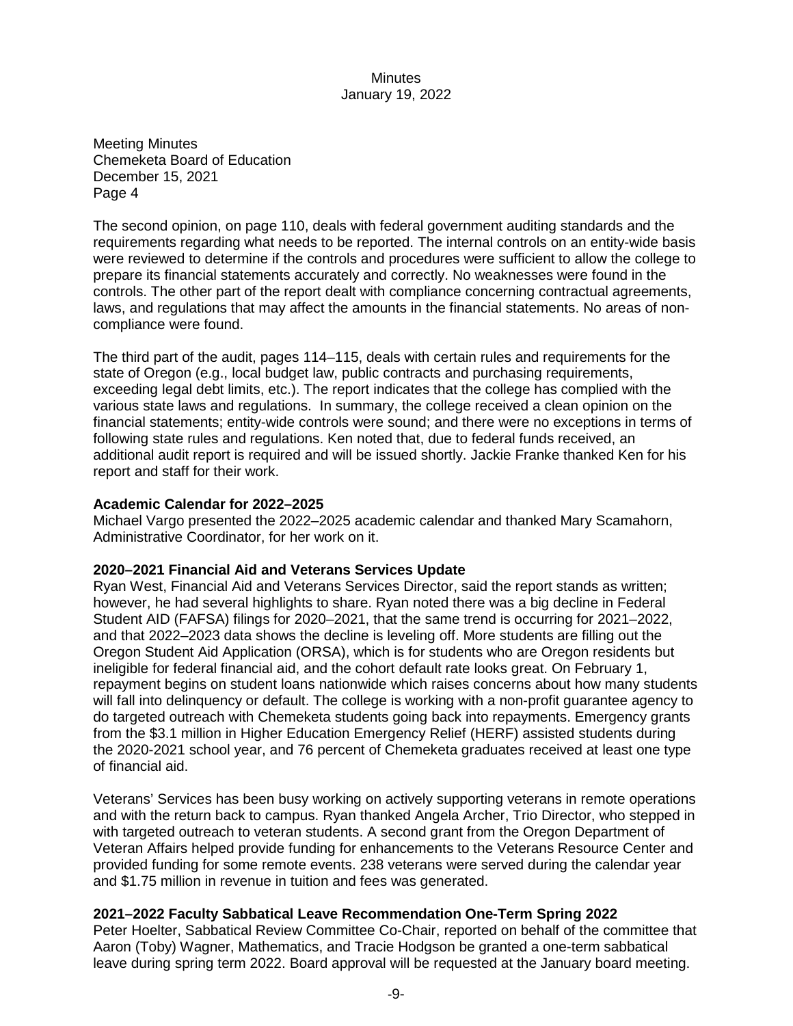Meeting Minutes Chemeketa Board of Education December 15, 2021 Page 4

The second opinion, on page 110, deals with federal government auditing standards and the requirements regarding what needs to be reported. The internal controls on an entity-wide basis were reviewed to determine if the controls and procedures were sufficient to allow the college to prepare its financial statements accurately and correctly. No weaknesses were found in the controls. The other part of the report dealt with compliance concerning contractual agreements, laws, and regulations that may affect the amounts in the financial statements. No areas of noncompliance were found.

The third part of the audit, pages 114–115, deals with certain rules and requirements for the state of Oregon (e.g., local budget law, public contracts and purchasing requirements, exceeding legal debt limits, etc.). The report indicates that the college has complied with the various state laws and regulations. In summary, the college received a clean opinion on the financial statements; entity-wide controls were sound; and there were no exceptions in terms of following state rules and regulations. Ken noted that, due to federal funds received, an additional audit report is required and will be issued shortly. Jackie Franke thanked Ken for his report and staff for their work.

### **Academic Calendar for 2022–2025**

Michael Vargo presented the 2022–2025 academic calendar and thanked Mary Scamahorn, Administrative Coordinator, for her work on it.

## **2020–2021 Financial Aid and Veterans Services Update**

Ryan West, Financial Aid and Veterans Services Director, said the report stands as written; however, he had several highlights to share. Ryan noted there was a big decline in Federal Student AID (FAFSA) filings for 2020–2021, that the same trend is occurring for 2021–2022, and that 2022–2023 data shows the decline is leveling off. More students are filling out the Oregon Student Aid Application (ORSA), which is for students who are Oregon residents but ineligible for federal financial aid, and the cohort default rate looks great. On February 1, repayment begins on student loans nationwide which raises concerns about how many students will fall into delinquency or default. The college is working with a non-profit guarantee agency to do targeted outreach with Chemeketa students going back into repayments. Emergency grants from the \$3.1 million in Higher Education Emergency Relief (HERF) assisted students during the 2020-2021 school year, and 76 percent of Chemeketa graduates received at least one type of financial aid.

Veterans' Services has been busy working on actively supporting veterans in remote operations and with the return back to campus. Ryan thanked Angela Archer, Trio Director, who stepped in with targeted outreach to veteran students. A second grant from the Oregon Department of Veteran Affairs helped provide funding for enhancements to the Veterans Resource Center and provided funding for some remote events. 238 veterans were served during the calendar year and \$1.75 million in revenue in tuition and fees was generated.

## **2021–2022 Faculty Sabbatical Leave Recommendation One-Term Spring 2022**

Peter Hoelter, Sabbatical Review Committee Co-Chair, reported on behalf of the committee that Aaron (Toby) Wagner, Mathematics, and Tracie Hodgson be granted a one-term sabbatical leave during spring term 2022. Board approval will be requested at the January board meeting.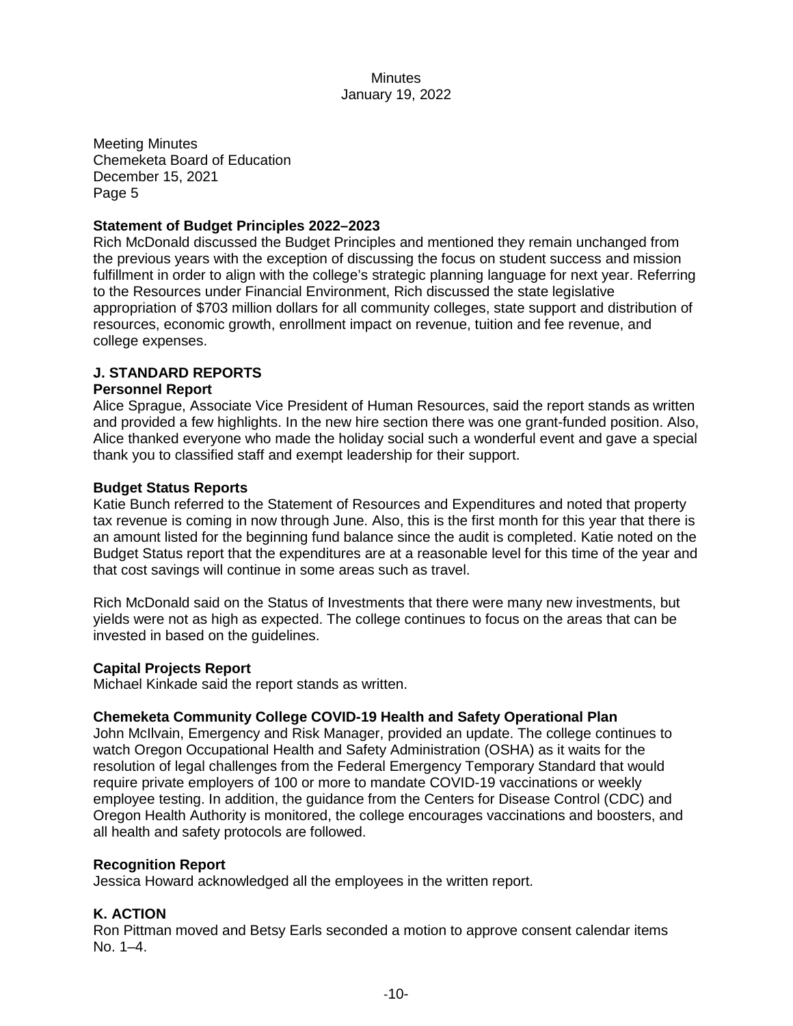Meeting Minutes Chemeketa Board of Education December 15, 2021 Page 5

#### **Statement of Budget Principles 2022–2023**

Rich McDonald discussed the Budget Principles and mentioned they remain unchanged from the previous years with the exception of discussing the focus on student success and mission fulfillment in order to align with the college's strategic planning language for next year. Referring to the Resources under Financial Environment, Rich discussed the state legislative appropriation of \$703 million dollars for all community colleges, state support and distribution of resources, economic growth, enrollment impact on revenue, tuition and fee revenue, and college expenses.

## **J. STANDARD REPORTS**

#### **Personnel Report**

Alice Sprague, Associate Vice President of Human Resources, said the report stands as written and provided a few highlights. In the new hire section there was one grant-funded position. Also, Alice thanked everyone who made the holiday social such a wonderful event and gave a special thank you to classified staff and exempt leadership for their support.

#### **Budget Status Reports**

Katie Bunch referred to the Statement of Resources and Expenditures and noted that property tax revenue is coming in now through June. Also, this is the first month for this year that there is an amount listed for the beginning fund balance since the audit is completed. Katie noted on the Budget Status report that the expenditures are at a reasonable level for this time of the year and that cost savings will continue in some areas such as travel.

Rich McDonald said on the Status of Investments that there were many new investments, but yields were not as high as expected. The college continues to focus on the areas that can be invested in based on the guidelines.

#### **Capital Projects Report**

Michael Kinkade said the report stands as written.

#### **Chemeketa Community College COVID-19 Health and Safety Operational Plan**

John McIlvain, Emergency and Risk Manager, provided an update. The college continues to watch Oregon Occupational Health and Safety Administration (OSHA) as it waits for the resolution of legal challenges from the Federal Emergency Temporary Standard that would require private employers of 100 or more to mandate COVID-19 vaccinations or weekly employee testing. In addition, the guidance from the Centers for Disease Control (CDC) and Oregon Health Authority is monitored, the college encourages vaccinations and boosters, and all health and safety protocols are followed.

#### **Recognition Report**

Jessica Howard acknowledged all the employees in the written report.

#### **K. ACTION**

Ron Pittman moved and Betsy Earls seconded a motion to approve consent calendar items No. 1–4.